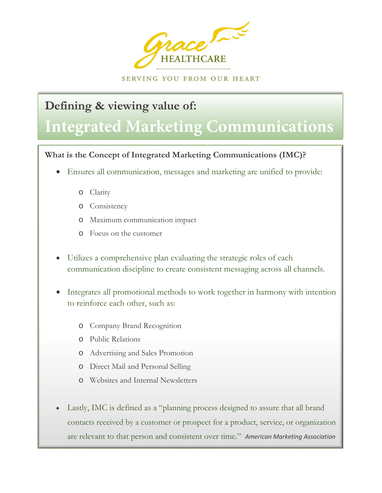

SERVING YOU FROM OUR HEART

# **Defining & viewing value of:**

# **Integrated Marketing Communications**

## **What is the Concept of Integrated Marketing Communications (IMC)?**

- Ensures all communication, messages and marketing are unified to provide:
	- o Clarity

l

- o Consistency
- o Maximum communication impact
- o Focus on the customer
- Utilizes a comprehensive plan evaluating the strategic roles of each communication discipline to create consistent messaging across all channels.
- Integrates all promotional methods to work together in harmony with intention to reinforce each other, such as:
	- o Company Brand Recognition
	- o Public Relations
	- o Advertising and Sales Promotion
	- o Direct Mail and Personal Selling
	- o Websites and Internal Newsletters
- Lastly, IMC is defined as a "planning process designed to assure that all brand contacts received by a customer or prospect for a product, service, or organization are relevant to that person and consistent over time." *American Marketing Association*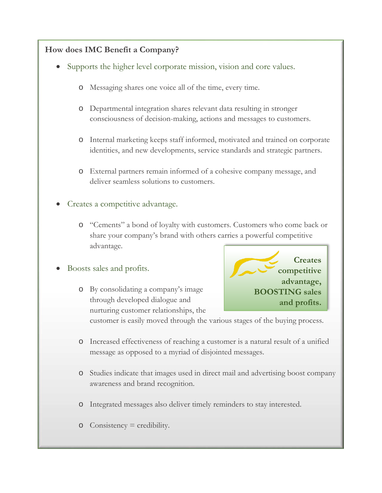### **How does IMC Benefit a Company?**

- Supports the higher level corporate mission, vision and core values.
	- o Messaging shares one voice all of the time, every time.
	- o Departmental integration shares relevant data resulting in stronger consciousness of decision-making, actions and messages to customers.
	- o Internal marketing keeps staff informed, motivated and trained on corporate identities, and new developments, service standards and strategic partners.
	- o External partners remain informed of a cohesive company message, and deliver seamless solutions to customers.
- Creates a competitive advantage.
	- o "Cements" a bond of loyalty with customers. Customers who come back or share your company's brand with others carries a powerful competitive advantage.
- Boosts sales and profits.
	- o By consolidating a company's image through developed dialogue and nurturing customer relationships, the



customer is easily moved through the various stages of the buying process.

- o Increased effectiveness of reaching a customer is a natural result of a unified message as opposed to a myriad of disjointed messages.
- o Studies indicate that images used in direct mail and advertising boost company awareness and brand recognition.
- o Integrated messages also deliver timely reminders to stay interested.
- $\circ$  Consistency = credibility.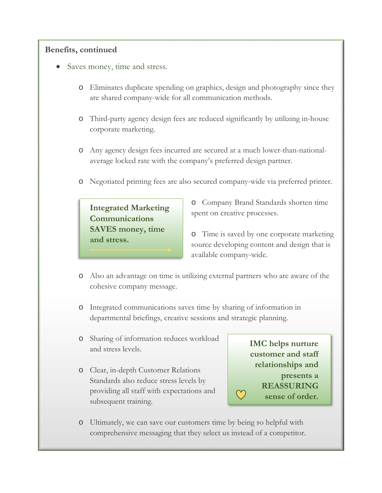#### **Benefits, continued**

- Saves money, time and stress.
	- o Eliminates duplicate spending on graphics, design and photography since they are shared company-wide for all communication methods.
	- o Third-party agency design fees are reduced significantly by utilizing in-house corporate marketing.
	- o Any agency design fees incurred are secured at a much lower-than-nationalaverage locked rate with the company's preferred design partner.
	- o Negotiated printing fees are also secured company-wide via preferred printer.

**Integrated Marketing Communications SAVES money, time and stress.**

o Company Brand Standards shorten time spent on creative processes.

o Time is saved by one corporate marketing source developing content and design that is available company-wide.

- o Also an advantage on time is utilizing external partners who are aware of the cohesive company message.
- o Integrated communications saves time by sharing of information in departmental briefings, creative sessions and strategic planning.
- o Sharing of information reduces workload and stress levels.
- o Clear, in-depth Customer Relations Standards also reduce stress levels by providing all staff with expectations and subsequent training.

**IMC helps nurture customer and staff relationships and presents a REASSURING sense of order.**

o Ultimately, we can save our customers time by being so helpful with comprehensive messaging that they select us instead of a competitor.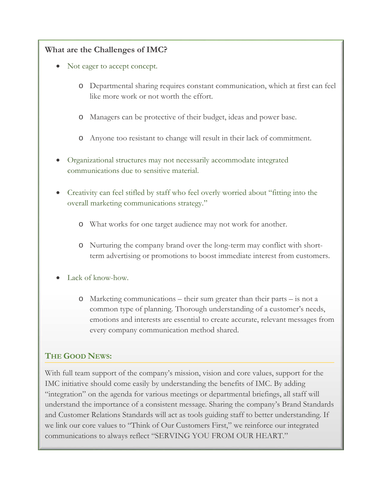#### **What are the Challenges of IMC?**

- Not eager to accept concept.
	- o Departmental sharing requires constant communication, which at first can feel like more work or not worth the effort.
	- o Managers can be protective of their budget, ideas and power base.
	- o Anyone too resistant to change will result in their lack of commitment.
- Organizational structures may not necessarily accommodate integrated communications due to sensitive material.
- Creativity can feel stifled by staff who feel overly worried about "fitting into the overall marketing communications strategy."
	- o What works for one target audience may not work for another.
	- o Nurturing the company brand over the long-term may conflict with shortterm advertising or promotions to boost immediate interest from customers.
- Lack of know-how.
	- o Marketing communications their sum greater than their parts is not a common type of planning. Thorough understanding of a customer's needs, emotions and interests are essential to create accurate, relevant messages from every company communication method shared.

#### **THE GOOD NEWS:**

With full team support of the company's mission, vision and core values, support for the IMC initiative should come easily by understanding the benefits of IMC. By adding "integration" on the agenda for various meetings or departmental briefings, all staff will understand the importance of a consistent message. Sharing the company's Brand Standards and Customer Relations Standards will act as tools guiding staff to better understanding. If we link our core values to "Think of Our Customers First," we reinforce our integrated communications to always reflect "SERVING YOU FROM OUR HEART."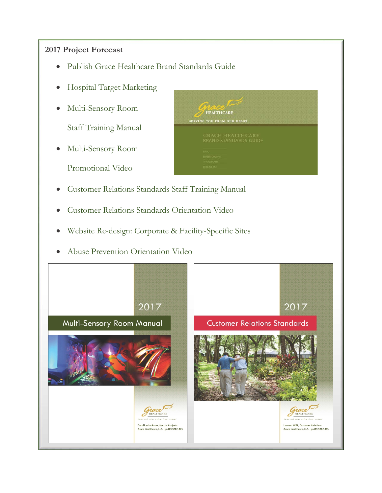#### **2017 Project Forecast**

- Publish Grace Healthcare Brand Standards Guide
- Hospital Target Marketing
- Multi-Sensory Room

Staff Training Manual

• Multi-Sensory Room

Promotional Video



HEALTHCARE SERVING YOU FROM OUR HEART

- Customer Relations Standards Orientation Video
- Website Re-design: Corporate & Facility-Specific Sites
- Abuse Prevention Orientation Video

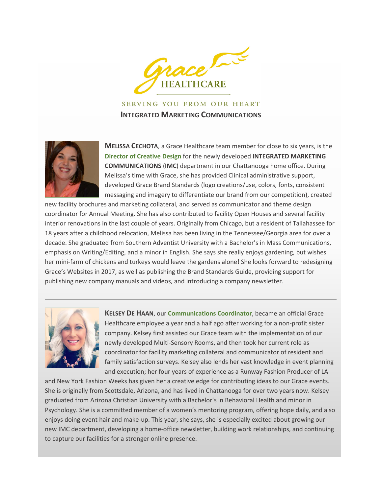

**SERVING YOU FROM OUR HEART INTEGRATED MARKETING COMMUNICATIONS**



**MELISSA CECHOTA**, a Grace Healthcare team member for close to six years, is the **Director of Creative Design** for the newly developed **INTEGRATED MARKETING COMMUNICATIONS** (**IMC**) department in our Chattanooga home office. During Melissa's time with Grace, she has provided Clinical administrative support, developed Grace Brand Standards (logo creations/use, colors, fonts, consistent messaging and imagery to differentiate our brand from our competition), created

new facility brochures and marketing collateral, and served as communicator and theme design coordinator for Annual Meeting. She has also contributed to facility Open Houses and several facility interior renovations in the last couple of years. Originally from Chicago, but a resident of Tallahassee for 18 years after a childhood relocation, Melissa has been living in the Tennessee/Georgia area for over a decade. She graduated from Southern Adventist University with a Bachelor's in Mass Communications, emphasis on Writing/Editing, and a minor in English. She says she really enjoys gardening, but wishes her mini-farm of chickens and turkeys would leave the gardens alone! She looks forward to redesigning Grace's Websites in 2017, as well as publishing the Brand Standards Guide, providing support for publishing new company manuals and videos, and introducing a company newsletter.



**KELSEY DE HAAN**, our **Communications Coordinator**, became an official Grace Healthcare employee a year and a half ago after working for a non-profit sister company. Kelsey first assisted our Grace team with the implementation of our newly developed Multi-Sensory Rooms, and then took her current role as coordinator for facility marketing collateral and communicator of resident and family satisfaction surveys. Kelsey also lends her vast knowledge in event planning and execution; her four years of experience as a Runway Fashion Producer of LA

and New York Fashion Weeks has given her a creative edge for contributing ideas to our Grace events. She is originally from Scottsdale, Arizona, and has lived in Chattanooga for over two years now. Kelsey graduated from Arizona Christian University with a Bachelor's in Behavioral Health and minor in Psychology. She is a committed member of a women's mentoring program, offering hope daily, and also enjoys doing event hair and make-up. This year, she says, she is especially excited about growing our new IMC department, developing a home-office newsletter, building work relationships, and continuing to capture our facilities for a stronger online presence.